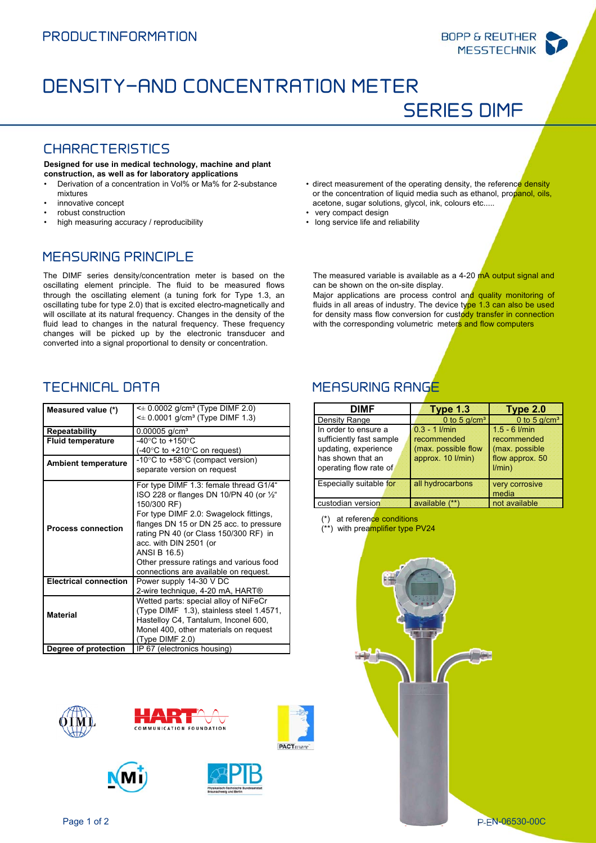SERIES DIMF



# DENSITY-AND CONCENTRATION METER

#### CHARACTERISTICS

**Designed for use in medical technology, machine and plant construction, as well as for laboratory applications** 

- Derivation of a concentration in Vol% or Ma% for 2-substance mixtures
- innovative concept
- robust construction
- high measuring accuracy / reproducibility

or the concentration of liquid media such as ethanol, propanol, oils, acetone, sugar solutions, glycol, ink, colours etc..... • very compact design • long service life and reliability

• direct measurement of the operating density, the reference density

The measured variable is available as a 4-20 mA output signal and

Major applications are process control and quality monitoring of fluids in all areas of industry. The device type 1.3 can also be used for density mass flow conversion for custody transfer in connection with the corresponding volumetric meters and flow computers

#### MEASURING PRINCIPLE

The DIMF series density/concentration meter is based on the oscillating element principle. The fluid to be measured flows through the oscillating element (a tuning fork for Type 1.3, an oscillating tube for type 2.0) that is excited electro-magnetically and will oscillate at its natural frequency. Changes in the density of the fluid lead to changes in the natural frequency. These frequency changes will be picked up by the electronic transducer and converted into a signal proportional to density or concentration.

| Measured value (*)           | $\leq$ 0.0002 g/cm <sup>3</sup> (Type DIMF 2.0)<br>$\leq$ 0.0001 g/cm <sup>3</sup> (Type DIMF 1.3) |  |
|------------------------------|----------------------------------------------------------------------------------------------------|--|
| <b>Repeatability</b>         | $0.00005$ g/cm <sup>3</sup>                                                                        |  |
| <b>Fluid temperature</b>     | -40 $^{\circ}$ C to +150 $^{\circ}$ C                                                              |  |
|                              | (-40 $\degree$ C to +210 $\degree$ C on request)                                                   |  |
|                              | -10 $\degree$ C to +58 $\degree$ C (compact version)                                               |  |
| <b>Ambient temperature</b>   | separate version on request                                                                        |  |
|                              |                                                                                                    |  |
| <b>Process connection</b>    | For type DIMF 1.3: female thread G1/4"                                                             |  |
|                              | ISO 228 or flanges DN 10/PN 40 (or $\frac{1}{2}$ "                                                 |  |
|                              | 150/300 RF)                                                                                        |  |
|                              | For type DIMF 2.0: Swagelock fittings,                                                             |  |
|                              | flanges DN 15 or DN 25 acc. to pressure                                                            |  |
|                              | rating PN 40 (or Class 150/300 RF) in                                                              |  |
|                              | acc. with DIN 2501 (or                                                                             |  |
|                              | ANSI B 16.5)                                                                                       |  |
|                              | Other pressure ratings and various food                                                            |  |
|                              | connections are available on request.                                                              |  |
| <b>Electrical connection</b> | Power supply 14-30 V DC                                                                            |  |
|                              | 2-wire technique, 4-20 mA, HART®                                                                   |  |
| <b>Material</b>              | Wetted parts: special alloy of NiFeCr                                                              |  |
|                              | (Type DIMF 1.3), stainless steel 1.4571,                                                           |  |
|                              | Hastelloy C4, Tantalum, Inconel 600,                                                               |  |
|                              | Monel 400, other materials on request                                                              |  |
|                              | (Type DIMF 2.0)                                                                                    |  |
| Degree of protection         | IP 67 (electronics housing)                                                                        |  |









### TECHNICAL DATA MEASURING RANGE

can be shown on the on-site display.

| DIMF                     | Type 1.3            | Type 2.0               |
|--------------------------|---------------------|------------------------|
| Density Range            | 0 to 5 $q/cm3$      | 0 to 5 $g/cm3$         |
| In order to ensure a     | $0.3 - 1$ I/min     | $1.5 - 6$ <i>l/min</i> |
| sufficiently fast sample | recommended         | recommended            |
| updating, experience     | (max. possible flow | (max. possible         |
| has shown that an        | approx. 10 l/min)   | flow approx 50         |
| operating flow rate of   |                     | 1/min)                 |
|                          |                     |                        |
| Especially suitable for  | all hydrocarbons    | very corrosive         |
|                          |                     | media                  |
| custodian version        | available (**)      | not available          |
|                          |                     |                        |

(\*) at reference conditions

(\*\*) with preamplifier type PV24



Page 1 of 2 P-EN-06530-00C